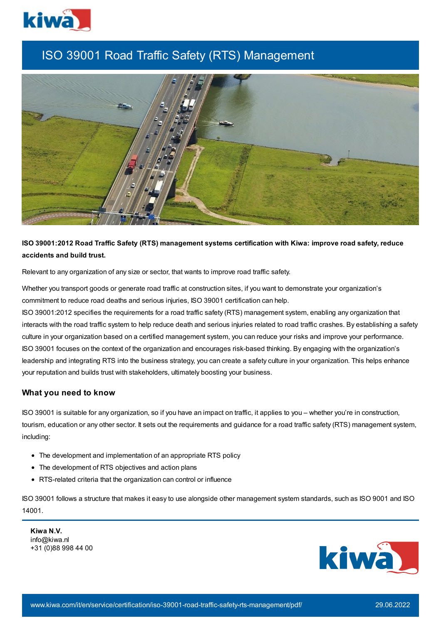

# ISO 39001 Road Traffic Safety (RTS) Management



## **ISO 39001:2012 Road Traffic Safety (RTS) management systems certification with Kiwa: improve road safety, reduce accidents and build trust.**

Relevant to any organization of any size or sector, that wants to improve road traffic safety.

Whether you transport goods or generate road traffic at construction sites, if you want to demonstrate your organization's commitment to reduce road deaths and serious injuries, ISO 39001 certification can help.

ISO 39001:2012 specifies the requirements for a road traffic safety (RTS) management system, enabling any organization that interacts with the road traffic system to help reduce death and serious injuries related to road traffic crashes. By establishing a safety culture in your organization based on a certified management system, you can reduce your risks and improve your performance. ISO 39001 focuses on the context of the organization and encourages risk-based thinking. By engaging with the organization's leadership and integrating RTS into the business strategy, you can create a safety culture in your organization. This helps enhance your reputation and builds trust with stakeholders, ultimately boosting your business.

#### **What you need to know**

ISO 39001 is suitable for any organization, so if you have an impact on traffic, it applies to you – whether you're in construction, tourism, education or any other sector. It sets out the requirements and guidance for a road traffic safety (RTS) management system, including:

- The development and implementation of an appropriate RTS policy
- The development of RTS objectives and action plans
- RTS-related criteria that the organization can control or influence

ISO 39001 follows a structure that makes it easy to use alongside other management system standards, such as ISO 9001 and ISO 14001.

**Kiwa N.V.** info@kiwa.nl +31 (0)88 998 44 00